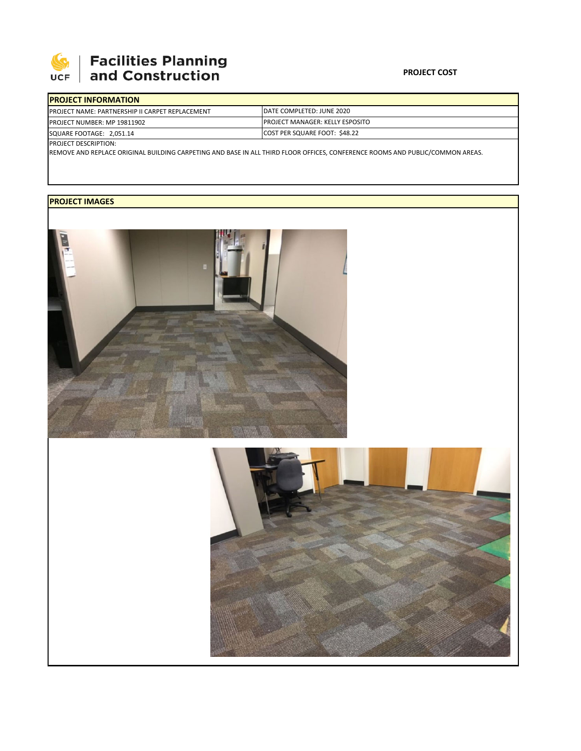

## **Facilities Planning**<br>and Construction

| <b>IPROJECT INFORMATION</b>                             |                                         |
|---------------------------------------------------------|-----------------------------------------|
| <b>IPROJECT NAME: PARTNERSHIP II CARPET REPLACEMENT</b> | IDATE COMPLETED: JUNE 2020              |
| <b>PROJECT NUMBER: MP 19811902</b>                      | <b>IPROJECT MANAGER: KELLY ESPOSITO</b> |
| SQUARE FOOTAGE: 2,051.14                                | COST PER SQUARE FOOT: \$48.22           |
| InMIST OF CCDIATION                                     |                                         |

PROJECT DESCRIPTION:

REMOVE AND REPLACE ORIGINAL BUILDING CARPETING AND BASE IN ALL THIRD FLOOR OFFICES, CONFERENCE ROOMS AND PUBLIC/COMMON AREAS.

## **PROJECT IMAGES**